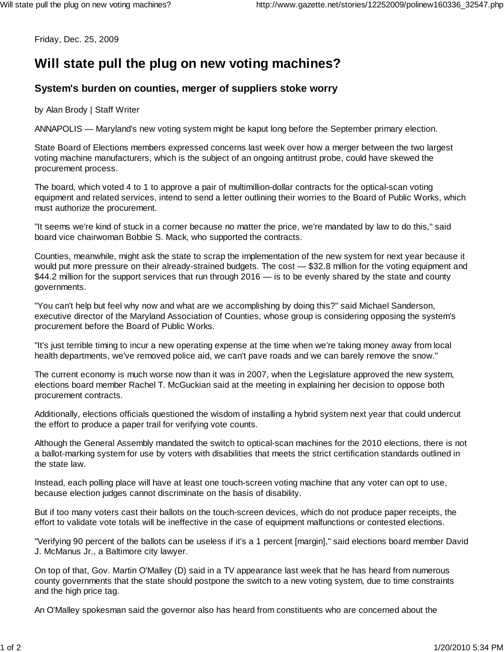Friday, Dec. 25, 2009

## **Will state pull the plug on new voting machines?**

## **System's burden on counties, merger of suppliers stoke worry**

by Alan Brody | Staff Writer

ANNAPOLIS — Maryland's new voting system might be kaput long before the September primary election.

State Board of Elections members expressed concerns last week over how a merger between the two largest voting machine manufacturers, which is the subject of an ongoing antitrust probe, could have skewed the procurement process.

The board, which voted 4 to 1 to approve a pair of multimillion-dollar contracts for the optical-scan voting equipment and related services, intend to send a letter outlining their worries to the Board of Public Works, which must authorize the procurement.

"It seems we're kind of stuck in a corner because no matter the price, we're mandated by law to do this," said board vice chairwoman Bobbie S. Mack, who supported the contracts.

Counties, meanwhile, might ask the state to scrap the implementation of the new system for next year because it would put more pressure on their already-strained budgets. The cost — \$32.8 million for the voting equipment and \$44.2 million for the support services that run through 2016 — is to be evenly shared by the state and county governments.

"You can't help but feel why now and what are we accomplishing by doing this?" said Michael Sanderson, executive director of the Maryland Association of Counties, whose group is considering opposing the system's procurement before the Board of Public Works.

"It's just terrible timing to incur a new operating expense at the time when we're taking money away from local health departments, we've removed police aid, we can't pave roads and we can barely remove the snow."

The current economy is much worse now than it was in 2007, when the Legislature approved the new system, elections board member Rachel T. McGuckian said at the meeting in explaining her decision to oppose both procurement contracts.

Additionally, elections officials questioned the wisdom of installing a hybrid system next year that could undercut the effort to produce a paper trail for verifying vote counts.

Although the General Assembly mandated the switch to optical-scan machines for the 2010 elections, there is not a ballot-marking system for use by voters with disabilities that meets the strict certification standards outlined in the state law.

Instead, each polling place will have at least one touch-screen voting machine that any voter can opt to use, because election judges cannot discriminate on the basis of disability.

But if too many voters cast their ballots on the touch-screen devices, which do not produce paper receipts, the effort to validate vote totals will be ineffective in the case of equipment malfunctions or contested elections.

"Verifying 90 percent of the ballots can be useless if it's a 1 percent [margin]," said elections board member David J. McManus Jr., a Baltimore city lawyer.

On top of that, Gov. Martin O'Malley (D) said in a TV appearance last week that he has heard from numerous county governments that the state should postpone the switch to a new voting system, due to time constraints and the high price tag.

An O'Malley spokesman said the governor also has heard from constituents who are concerned about the